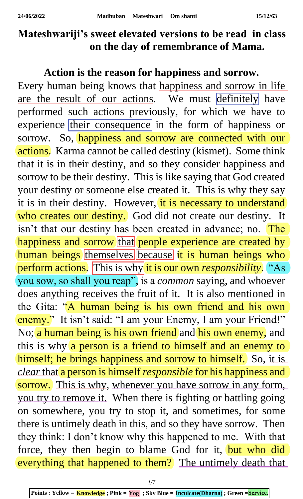## **Mateshwariji's sweet elevated versions to be read in class on the day of remembrance of Mama.**

## **Action is the reason for happiness and sorrow.**

Every human being knows that happiness and sorrow in life are the result of our actions. We must definitely have performed such actions previously, for which we have to experience their consequence in the form of happiness or sorrow. So, happiness and sorrow are connected with our actions. Karma cannot be called destiny (kismet). Some think that it is in their destiny, and so they consider happiness and sorrow to be their destiny. This is like saying that God created your destiny or someone else created it. This is why they say it is in their destiny. However, it is necessary to understand who creates our destiny. God did not create our destiny. It isn't that our destiny has been created in advance; no. The happiness and sorrow that people experience are created by human beings themselves because it is human beings who perform actions. This is why it is our own *responsibility*. "As you sow, so shall you reap", is a *common* saying, and whoever does anything receives the fruit of it. It is also mentioned in the Gita: "A human being is his own friend and his own enemy." It isn't said: "I am your Enemy, I am your Friend!" No; a human being is his own friend and his own enemy, and this is why a person is a friend to himself and an enemy to himself; he brings happiness and sorrow to himself. So, it is *clear*that a person is himself *responsible* for his happiness and sorrow. This is why, whenever you have sorrow in any form, you try to remove it. When there is fighting or battling going on somewhere, you try to stop it, and sometimes, for some there is untimely death in this, and so they have sorrow. Then they think: I don't know why this happened to me. With that force, they then begin to blame God for it, but who did everything that happened to them? The untimely death that

*1/7*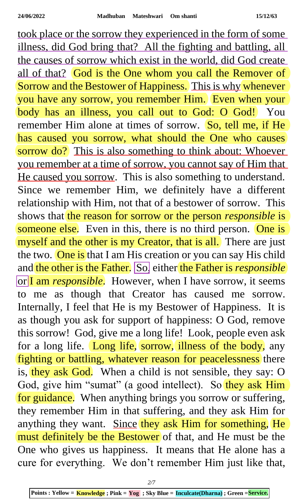took place or the sorrow they experienced in the form of some illness, did God bring that? All the fighting and battling, all the causes of sorrow which exist in the world, did God create all of that? God is the One whom you call the Remover of Sorrow and the Bestower of Happiness. This is why whenever you have any sorrow, you remember Him. Even when your body has an illness, you call out to God: O God! You remember Him alone at times of sorrow. So, tell me, if He has caused you sorrow, what should the One who causes sorrow do? This is also something to think about: Whoever you remember at a time of sorrow, you cannot say of Him that He caused you sorrow. This is also something to understand. Since we remember Him, we definitely have a different relationship with Him, not that of a bestower of sorrow. This shows that the reason for sorrow or the person *responsible* is someone else. Even in this, there is no third person. One is myself and the other is my Creator, that is all. There are just the two. One is that I am His creation or you can say His child and the other is the Father. So, either the Father is *responsible* or I am *responsible*. However, when I have sorrow, it seems to me as though that Creator has caused me sorrow. Internally, I feel that He is my Bestower of Happiness. It is as though you ask for support of happiness: O God, remove this sorrow! God, give me a long life! Look, people even ask for a long life. Long life, sorrow, illness of the body, any fighting or battling, whatever reason for peacelessness there is, they ask God. When a child is not sensible, they say: O God, give him "sumat" (a good intellect). So they ask Him for guidance. When anything brings you sorrow or suffering, they remember Him in that suffering, and they ask Him for anything they want. Since they ask Him for something, He must definitely be the Bestower of that, and He must be the One who gives us happiness. It means that He alone has a cure for everything. We don't remember Him just like that,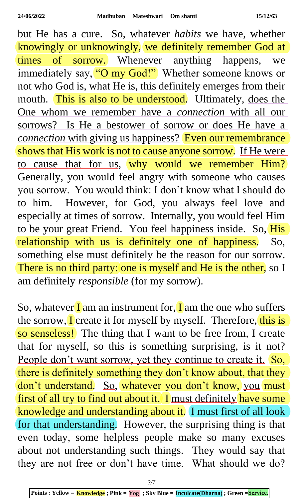but He has a cure. So, whatever *habits* we have, whether knowingly or unknowingly, we definitely remember God at times of sorrow. Whenever anything happens, we immediately say, "O my God!" Whether someone knows or not who God is, what He is, this definitely emerges from their mouth. This is also to be understood. Ultimately, does the One whom we remember have a *connection* with all our sorrows? Is He a bestower of sorrow or does He have a *connection* with giving us happiness? Even our remembrance shows that His work is not to cause anyone sorrow. If He were to cause that for us, why would we remember Him? Generally, you would feel angry with someone who causes you sorrow. You would think: I don't know what I should do to him. However, for God, you always feel love and especially at times of sorrow. Internally, you would feel Him to be your great Friend. You feel happiness inside. So, His relationship with us is definitely one of happiness. So, something else must definitely be the reason for our sorrow. There is no third party: one is myself and He is the other, so I am definitely *responsible* (for my sorrow).

So, whatever  $\Gamma$  am an instrument for,  $\Gamma$  am the one who suffers the sorrow, I create it for myself by myself. Therefore, this is so senseless! The thing that I want to be free from, I create that for myself, so this is something surprising, is it not? People don't want sorrow, yet they continue to create it. So, there is definitely something they don't know about, that they don't understand. So, whatever you don't know, you must first of all try to find out about it. I must definitely have some knowledge and understanding about it. I must first of all look for that understanding. However, the surprising thing is that even today, some helpless people make so many excuses about not understanding such things. They would say that they are not free or don't have time. What should we do?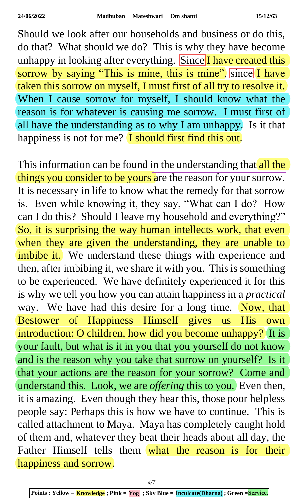Should we look after our households and business or do this, do that? What should we do? This is why they have become unhappy in looking after everything. Since I have created this sorrow by saying "This is mine, this is mine", since I have taken this sorrow on myself, I must first of all try to resolve it. When I cause sorrow for myself, I should know what the reason is for whatever is causing me sorrow. I must first of all have the understanding as to why I am unhappy. Is it that happiness is not for me? I should first find this out.

This information can be found in the understanding that all the things you consider to be yours are the reason for your sorrow. It is necessary in life to know what the remedy for that sorrow is. Even while knowing it, they say, "What can I do? How can I do this? Should I leave my household and everything?" So, it is surprising the way human intellects work, that even when they are given the understanding, they are unable to imbibe it. We understand these things with experience and then, after imbibing it, we share it with you. This is something to be experienced. We have definitely experienced it for this is why we tell you how you can attain happiness in a *practical* way. We have had this desire for a long time. Now, that Bestower of Happiness Himself gives us His own introduction: O children, how did you become unhappy? It is your fault, but what is it in you that you yourself do not know and is the reason why you take that sorrow on yourself? Is it that your actions are the reason for your sorrow? Come and understand this. Look, we are *offering* this to you. Even then, it is amazing. Even though they hear this, those poor helpless people say: Perhaps this is how we have to continue. This is called attachment to Maya. Maya has completely caught hold of them and, whatever they beat their heads about all day, the Father Himself tells them what the reason is for their happiness and sorrow.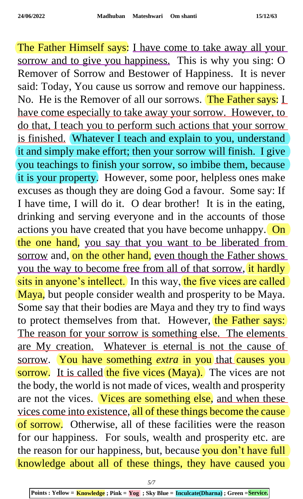The Father Himself says: I have come to take away all your sorrow and to give you happiness. This is why you sing: O Remover of Sorrow and Bestower of Happiness. It is never said: Today, You cause us sorrow and remove our happiness. No. He is the Remover of all our sorrows. The Father says: L have come especially to take away your sorrow. However, to do that, I teach you to perform such actions that your sorrow is finished. Whatever I teach and explain to you, understand it and simply make effort; then your sorrow will finish. I give you teachings to finish your sorrow, so imbibe them, because it is your property. However, some poor, helpless ones make excuses as though they are doing God a favour. Some say: If I have time, I will do it. O dear brother! It is in the eating, drinking and serving everyone and in the accounts of those actions you have created that you have become unhappy. On the one hand, you say that you want to be liberated from sorrow and, on the other hand, even though the Father shows you the way to become free from all of that sorrow, it hardly sits in anyone's intellect. In this way, the five vices are called Maya, but people consider wealth and prosperity to be Maya. Some say that their bodies are Maya and they try to find ways to protect themselves from that. However, the Father says: The reason for your sorrow is something else. The elements are My creation. Whatever is eternal is not the cause of sorrow. You have something *extra* in you that causes you sorrow. It is called the five vices (Maya). The vices are not the body, the world is not made of vices, wealth and prosperity are not the vices. Vices are something else, and when these vices come into existence, all of these things become the cause of sorrow. Otherwise, all of these facilities were the reason for our happiness. For souls, wealth and prosperity etc. are the reason for our happiness, but, because you don't have full knowledge about all of these things, they have caused you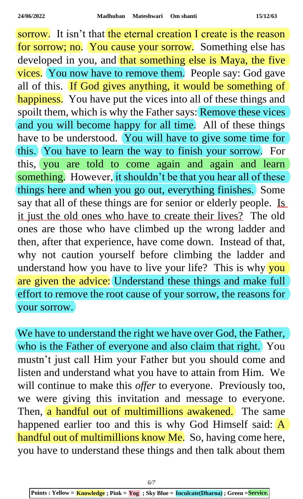sorrow. It isn't that the eternal creation I create is the reason for sorrow; no. You cause your sorrow. Something else has developed in you, and that something else is Maya, the five vices. You now have to remove them. People say: God gave all of this. If God gives anything, it would be something of happiness. You have put the vices into all of these things and spoilt them, which is why the Father says: Remove these vices and you will become happy for all time. All of these things have to be understood. You will have to give some time for this. You have to learn the way to finish your sorrow. For this, you are told to come again and again and learn something. However, it shouldn't be that you hear all of these things here and when you go out, everything finishes. Some say that all of these things are for senior or elderly people. Is it just the old ones who have to create their lives? The old ones are those who have climbed up the wrong ladder and then, after that experience, have come down. Instead of that, why not caution yourself before climbing the ladder and understand how you have to live your life? This is why you are given the advice: Understand these things and make full effort to remove the root cause of your sorrow, the reasons for your sorrow.

We have to understand the right we have over God, the Father, who is the Father of everyone and also claim that right. You mustn't just call Him your Father but you should come and listen and understand what you have to attain from Him. We will continue to make this *offer* to everyone. Previously too, we were giving this invitation and message to everyone. Then, a handful out of multimillions awakened. The same happened earlier too and this is why God Himself said:  $\overline{A}$ handful out of multimillions know Me. So, having come here, you have to understand these things and then talk about them